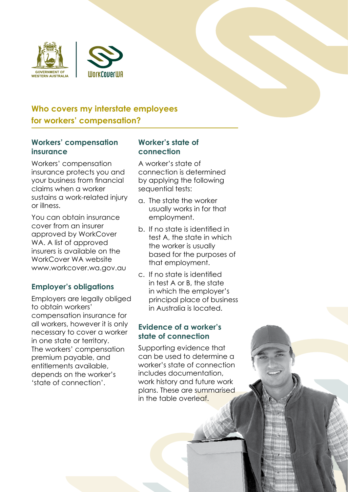



# **Who covers my interstate employees for workers' compensation?**

#### **Workers' compensation insurance**

Workers' compensation insurance protects you and your business from financial claims when a worker sustains a work-related injury or illness.

You can obtain insurance cover from an insurer approved by WorkCover WA. A list of approved insurers is available on the WorkCover WA website www.workcover.wa.gov.au

## **Employer's obligations**

Employers are legally obliged to obtain workers' compensation insurance for all workers, however it is only necessary to cover a worker in one state or territory. The workers' compensation premium payable, and entitlements available, depends on the worker's 'state of connection'.

#### **Worker's state of connection**

A worker's state of connection is determined by applying the following sequential tests:

- a. The state the worker usually works in for that employment.
- b. If no state is identified in test A, the state in which the worker is usually based for the purposes of that employment.
- c. If no state is identified in test A or B, the state in which the employer's principal place of business in Australia is located.

## **Evidence of a worker's state of connection**

Supporting evidence that can be used to determine a worker's state of connection includes documentation, work history and future work plans. These are summarised in the table overleaf.